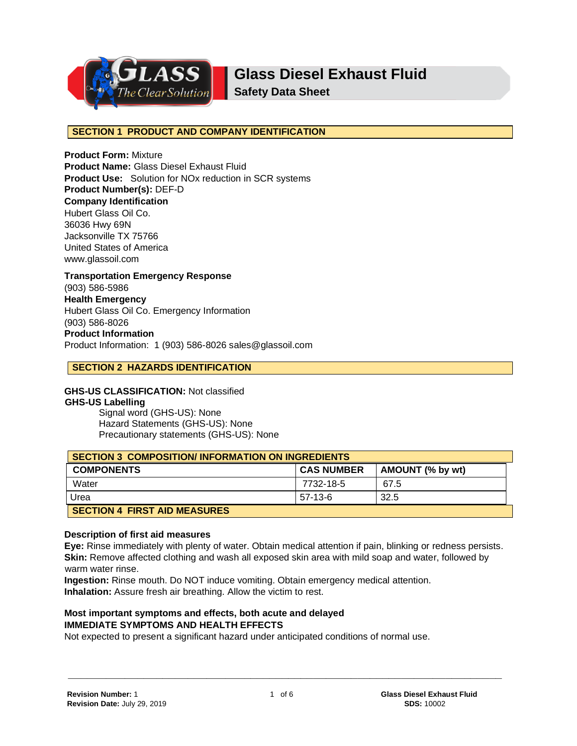

**Safety Data Sheet**

### **SECTION 1 PRODUCT AND COMPANY IDENTIFICATION**

**Product Form:** Mixture **Product Name:** Glass Diesel Exhaust Fluid **Product Use:** Solution for NOx reduction in SCR systems **Product Number(s):** DEF-D **Company Identification** Hubert Glass Oil Co. 36036 Hwy 69N Jacksonville TX 75766 United States of America www.glassoil.com **Transportation Emergency Response**

(903) 586-5986 **Health Emergency** Hubert Glass Oil Co. Emergency Information (903) 586-8026 **Product Information**  Product Information: 1 (903) 586-8026 sales@glassoil.com

## **SECTION 2 HAZARDS IDENTIFICATION**

**GHS-US CLASSIFICATION:** Not classified **GHS-US Labelling**

Signal word (GHS-US): None Hazard Statements (GHS-US): None Precautionary statements (GHS-US): None

| <b>SECTION 3 COMPOSITION/INFORMATION ON INGREDIENTS</b> |                   |                  |
|---------------------------------------------------------|-------------------|------------------|
| <b>COMPONENTS</b>                                       | <b>CAS NUMBER</b> | AMOUNT (% by wt) |
| Water                                                   | 7732-18-5         | 67.5             |
| Urea                                                    | 57-13-6           | 32.5             |
| <b>SECTION 4 FIRST AID MEASURES</b>                     |                   |                  |

#### **Description of first aid measures**

**Eye:** Rinse immediately with plenty of water. Obtain medical attention if pain, blinking or redness persists. **Skin:** Remove affected clothing and wash all exposed skin area with mild soap and water, followed by warm water rinse.

**Ingestion:** Rinse mouth. Do NOT induce vomiting. Obtain emergency medical attention. **Inhalation:** Assure fresh air breathing. Allow the victim to rest.

### **Most important symptoms and effects, both acute and delayed IMMEDIATE SYMPTOMS AND HEALTH EFFECTS**

Not expected to present a significant hazard under anticipated conditions of normal use.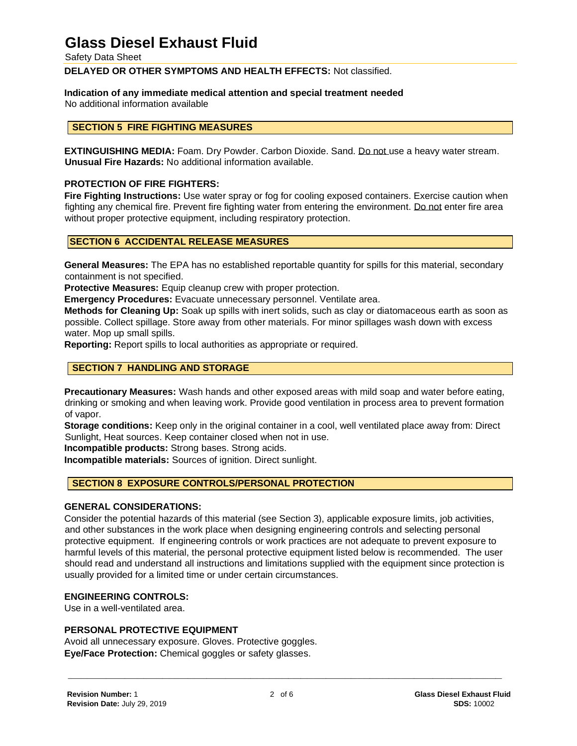Safety Data Sheet

**DELAYED OR OTHER SYMPTOMS AND HEALTH EFFECTS:** Not classified.

### **Indication of any immediate medical attention and special treatment needed**

No additional information available

### **SECTION 5 FIRE FIGHTING MEASURES**

**EXTINGUISHING MEDIA:** Foam. Dry Powder. Carbon Dioxide. Sand. Do not use a heavy water stream. **Unusual Fire Hazards:** No additional information available.

### **PROTECTION OF FIRE FIGHTERS:**

**Fire Fighting Instructions:** Use water spray or fog for cooling exposed containers. Exercise caution when fighting any chemical fire. Prevent fire fighting water from entering the environment. Do not enter fire area without proper protective equipment, including respiratory protection.

### **SECTION 6 ACCIDENTAL RELEASE MEASURES**

**General Measures:** The EPA has no established reportable quantity for spills for this material, secondary containment is not specified.

**Protective Measures:** Equip cleanup crew with proper protection.

**Emergency Procedures:** Evacuate unnecessary personnel. Ventilate area.

**Methods for Cleaning Up:** Soak up spills with inert solids, such as clay or diatomaceous earth as soon as possible. Collect spillage. Store away from other materials. For minor spillages wash down with excess water. Mop up small spills.

**Reporting:** Report spills to local authorities as appropriate or required.

## **SECTION 7 HANDLING AND STORAGE**

**Precautionary Measures:** Wash hands and other exposed areas with mild soap and water before eating, drinking or smoking and when leaving work. Provide good ventilation in process area to prevent formation of vapor.

**Storage conditions:** Keep only in the original container in a cool, well ventilated place away from: Direct Sunlight, Heat sources. Keep container closed when not in use.

**Incompatible products:** Strong bases. Strong acids.

**Incompatible materials:** Sources of ignition. Direct sunlight.

## **SECTION 8 EXPOSURE CONTROLS/PERSONAL PROTECTION**

#### **GENERAL CONSIDERATIONS:**

Consider the potential hazards of this material (see Section 3), applicable exposure limits, job activities, and other substances in the work place when designing engineering controls and selecting personal protective equipment. If engineering controls or work practices are not adequate to prevent exposure to harmful levels of this material, the personal protective equipment listed below is recommended. The user should read and understand all instructions and limitations supplied with the equipment since protection is usually provided for a limited time or under certain circumstances.

### **ENGINEERING CONTROLS:**

Use in a well-ventilated area.

#### **PERSONAL PROTECTIVE EQUIPMENT**

Avoid all unnecessary exposure. Gloves. Protective goggles. **Eye/Face Protection:** Chemical goggles or safety glasses.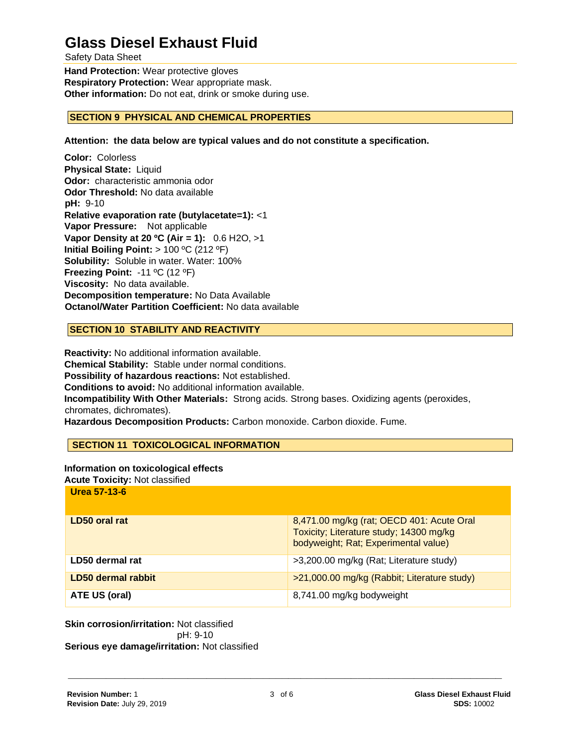Safety Data Sheet

**Hand Protection:** Wear protective gloves **Respiratory Protection:** Wear appropriate mask. **Other information:** Do not eat, drink or smoke during use.

## **SECTION 9 PHYSICAL AND CHEMICAL PROPERTIES**

**Attention: the data below are typical values and do not constitute a specification.**

**Color:** Colorless **Physical State:** Liquid **Odor:** characteristic ammonia odor **Odor Threshold:** No data available **pH:** 9-10 **Relative evaporation rate (butylacetate=1):** <1 **Vapor Pressure:** Not applicable **Vapor Density at 20 ºC (Air = 1):** 0.6 H2O, >1 **Initial Boiling Point:** > 100 ºC (212 ºF) **Solubility:** Soluble in water. Water: 100% **Freezing Point:** -11 ºC (12 ºF) **Viscosity:** No data available. **Decomposition temperature:** No Data Available **Octanol/Water Partition Coefficient:** No data available

### **SECTION 10 STABILITY AND REACTIVITY**

**Reactivity:** No additional information available. **Chemical Stability:** Stable under normal conditions. **Possibility of hazardous reactions:** Not established. **Conditions to avoid:** No additional information available. **Incompatibility With Other Materials:** Strong acids. Strong bases. Oxidizing agents (peroxides, chromates, dichromates). **Hazardous Decomposition Products:** Carbon monoxide. Carbon dioxide. Fume.

### **SECTION 11 TOXICOLOGICAL INFORMATION**

#### **Information on toxicological effects**

**Acute Toxicity:** Not classified

**Urea 57-13-6**

| LD50 oral rat      | 8,471.00 mg/kg (rat; OECD 401: Acute Oral<br>Toxicity; Literature study; 14300 mg/kg<br>bodyweight; Rat; Experimental value) |
|--------------------|------------------------------------------------------------------------------------------------------------------------------|
| LD50 dermal rat    | >3,200.00 mg/kg (Rat; Literature study)                                                                                      |
| LD50 dermal rabbit | >21,000.00 mg/kg (Rabbit; Literature study)                                                                                  |
| ATE US (oral)      | 8,741.00 mg/kg bodyweight                                                                                                    |

**Skin corrosion/irritation:** Not classified pH: 9-10 **Serious eye damage/irritation:** Not classified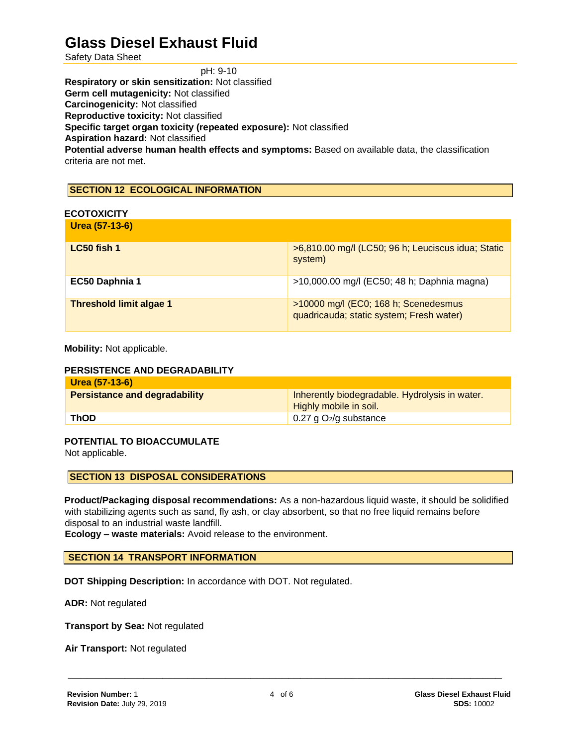Safety Data Sheet

pH: 9-10

**Respiratory or skin sensitization:** Not classified

**Germ cell mutagenicity:** Not classified

**Carcinogenicity:** Not classified

**Reproductive toxicity:** Not classified

**Specific target organ toxicity (repeated exposure):** Not classified

**Aspiration hazard:** Not classified

**Potential adverse human health effects and symptoms:** Based on available data, the classification criteria are not met.

# **SECTION 12 ECOLOGICAL INFORMATION**

### **ECOTOXICITY**

| Urea (57-13-6)                 |                                                                                  |
|--------------------------------|----------------------------------------------------------------------------------|
| $LC50$ fish 1                  | >6,810.00 mg/l (LC50; 96 h; Leuciscus idua; Static<br>system)                    |
| EC50 Daphnia 1                 | >10,000.00 mg/l (EC50; 48 h; Daphnia magna)                                      |
| <b>Threshold limit algae 1</b> | >10000 mg/l (EC0; 168 h; Scenedesmus<br>quadricauda; static system; Fresh water) |

**Mobility:** Not applicable.

### **PERSISTENCE AND DEGRADABILITY**

| Urea (57-13-6)                       |                                                  |
|--------------------------------------|--------------------------------------------------|
| <b>Persistance and degradability</b> | Inherently biodegradable. Hydrolysis in water.   |
|                                      | Highly mobile in soil.                           |
| <b>ThOD</b>                          | $\frac{1}{2}$ 0.27 g O <sub>2</sub> /g substance |

### **POTENTIAL TO BIOACCUMULATE**

Not applicable.

**SECTION 13 DISPOSAL CONSIDERATIONS** 

**Product/Packaging disposal recommendations:** As a non-hazardous liquid waste, it should be solidified with stabilizing agents such as sand, fly ash, or clay absorbent, so that no free liquid remains before disposal to an industrial waste landfill.

**Ecology – waste materials:** Avoid release to the environment.

### **SECTION 14 TRANSPORT INFORMATION**

**DOT Shipping Description:** In accordance with DOT. Not regulated.

**ADR:** Not regulated

**Transport by Sea:** Not regulated

**Air Transport:** Not regulated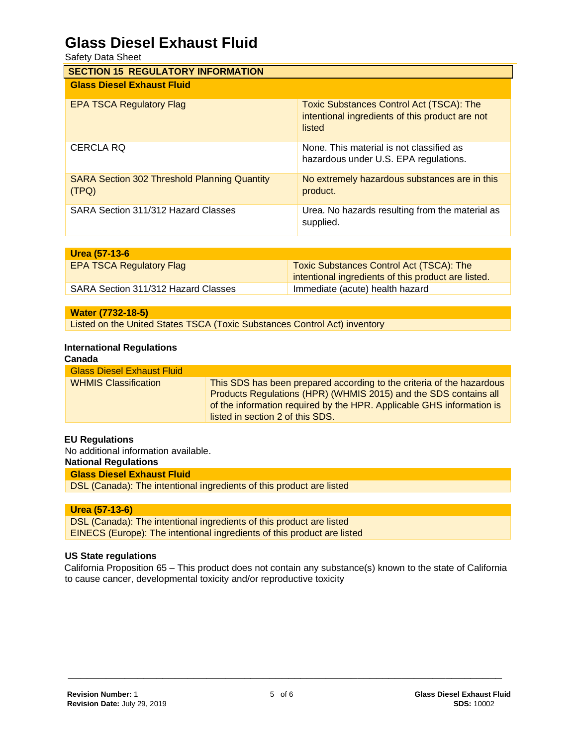Safety Data Sheet

| <b>SECTION 15 REGULATORY INFORMATION</b>                     |                                                                                                              |  |
|--------------------------------------------------------------|--------------------------------------------------------------------------------------------------------------|--|
| <b>Glass Diesel Exhaust Fluid</b>                            |                                                                                                              |  |
| <b>EPA TSCA Regulatory Flag</b>                              | <b>Toxic Substances Control Act (TSCA): The</b><br>intentional ingredients of this product are not<br>listed |  |
| <b>CERCLA RQ</b>                                             | None. This material is not classified as<br>hazardous under U.S. EPA regulations.                            |  |
| <b>SARA Section 302 Threshold Planning Quantity</b><br>(TPQ) | No extremely hazardous substances are in this<br>product.                                                    |  |
| SARA Section 311/312 Hazard Classes                          | Urea. No hazards resulting from the material as<br>supplied.                                                 |  |

| Urea (57-13-6                       |                                                                                                        |
|-------------------------------------|--------------------------------------------------------------------------------------------------------|
| <b>EPA TSCA Regulatory Flag</b>     | <b>Toxic Substances Control Act (TSCA): The</b><br>intentional ingredients of this product are listed. |
| SARA Section 311/312 Hazard Classes | Immediate (acute) health hazard                                                                        |

| Water (7732-18-5)                                                         |  |
|---------------------------------------------------------------------------|--|
| Listed on the United States TSCA (Toxic Substances Control Act) inventory |  |

### **International Regulations**

| Canada                            |                                                                                                                                                                                                                                                        |
|-----------------------------------|--------------------------------------------------------------------------------------------------------------------------------------------------------------------------------------------------------------------------------------------------------|
| <b>Glass Diesel Exhaust Fluid</b> |                                                                                                                                                                                                                                                        |
| <b>WHMIS Classification</b>       | This SDS has been prepared according to the criteria of the hazardous<br>Products Regulations (HPR) (WHMIS 2015) and the SDS contains all<br>of the information required by the HPR. Applicable GHS information is<br>listed in section 2 of this SDS. |

### **EU Regulations**

No additional information available.

## **National Regulations**

## **Glass Diesel Exhaust Fluid**

DSL (Canada): The intentional ingredients of this product are listed

#### **Urea (57-13-6)**

DSL (Canada): The intentional ingredients of this product are listed EINECS (Europe): The intentional ingredients of this product are listed

### **US State regulations**

California Proposition 65 – This product does not contain any substance(s) known to the state of California to cause cancer, developmental toxicity and/or reproductive toxicity